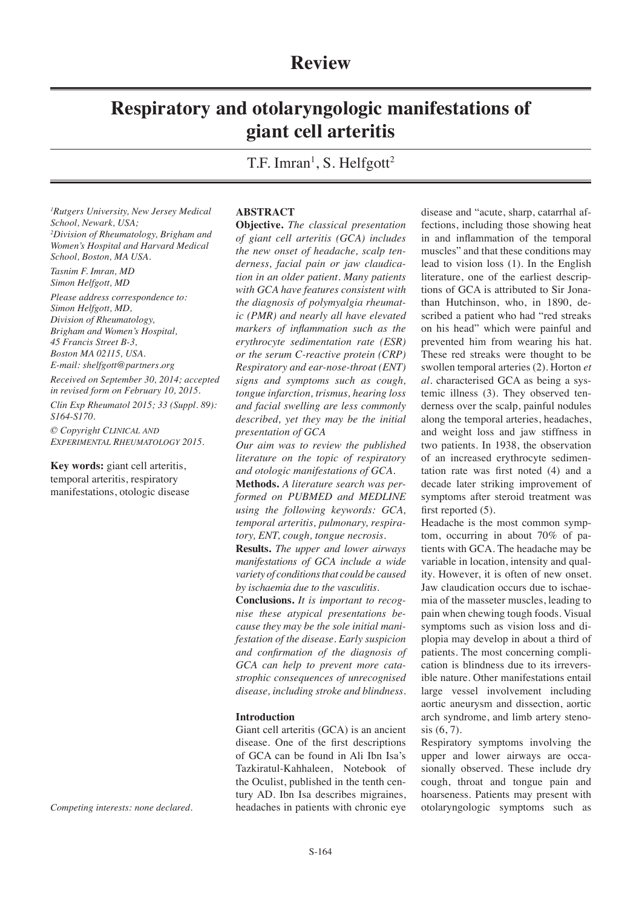# **Respiratory and otolaryngologic manifestations of giant cell arteritis**

T.F. Imran<sup>1</sup>, S. Helfgott<sup>2</sup>

*1 Rutgers University, New Jersey Medical School, Newark, USA; 2 Division of Rheumatology, Brigham and Women's Hospital and Harvard Medical School, Boston, MA USA.*

*Tasnim F. Imran, MD Simon Helfgott, MD*

*Please address correspondence to: Simon Helfgott, MD, Division of Rheumatology, Brigham and Women's Hospital, 45 Francis Street B-3, Boston MA 02115, USA. E-mail: shelfgott@partners.org*

*Received on September 30, 2014; accepted in revised form on February 10, 2015.*

*Clin Exp Rheumatol 2015; 33 (Suppl. 89): S164-S170.*

*© Copyright Clinical and Experimental Rheumatology 2015.*

**Key words:** giant cell arteritis, temporal arteritis, respiratory manifestations, otologic disease

*Competing interests: none declared.*

### **ABSTRACT**

**Objective.** *The classical presentation of giant cell arteritis (GCA) includes the new onset of headache, scalp tenderness, facial pain or jaw claudication in an older patient. Many patients with GCA have features consistent with the diagnosis of polymyalgia rheumatic (PMR) and nearly all have elevated markers of inflammation such as the erythrocyte sedimentation rate (ESR) or the serum C-reactive protein (CRP) Respiratory and ear-nose-throat (ENT) signs and symptoms such as cough, tongue infarction, trismus, hearing loss and facial swelling are less commonly described, yet they may be the initial presentation of GCA*

*Our aim was to review the published literature on the topic of respiratory and otologic manifestations of GCA.*

**Methods.** *A literature search was performed on PUBMED and MEDLINE using the following keywords: GCA, temporal arteritis, pulmonary, respiratory, ENT, cough, tongue necrosis.* 

**Results.** *The upper and lower airways manifestations of GCA include a wide variety of conditions that could be caused by ischaemia due to the vasculitis.* 

**Conclusions.** *It is important to recognise these atypical presentations because they may be the sole initial manifestation of the disease. Early suspicion and confirmation of the diagnosis of GCA can help to prevent more catastrophic consequences of unrecognised disease, including stroke and blindness.*

#### **Introduction**

Giant cell arteritis (GCA) is an ancient disease. One of the first descriptions of GCA can be found in Ali Ibn Isa's Tazkiratul-Kahhaleen, Notebook of the Oculist, published in the tenth century AD. Ibn Isa describes migraines, headaches in patients with chronic eye

disease and "acute, sharp, catarrhal affections, including those showing heat in and inflammation of the temporal muscles" and that these conditions may lead to vision loss (1). In the English literature, one of the earliest descriptions of GCA is attributed to Sir Jonathan Hutchinson, who, in 1890, described a patient who had "red streaks on his head" which were painful and prevented him from wearing his hat. These red streaks were thought to be swollen temporal arteries (2). Horton *et al.* characterised GCA as being a systemic illness (3). They observed tenderness over the scalp, painful nodules along the temporal arteries, headaches, and weight loss and jaw stiffness in two patients. In 1938, the observation of an increased erythrocyte sedimentation rate was first noted (4) and a decade later striking improvement of symptoms after steroid treatment was first reported  $(5)$ .

Headache is the most common symptom, occurring in about 70% of patients with GCA. The headache may be variable in location, intensity and quality. However, it is often of new onset. Jaw claudication occurs due to ischaemia of the masseter muscles, leading to pain when chewing tough foods. Visual symptoms such as vision loss and diplopia may develop in about a third of patients. The most concerning complication is blindness due to its irreversible nature. Other manifestations entail large vessel involvement including aortic aneurysm and dissection, aortic arch syndrome, and limb artery stenosis (6, 7).

Respiratory symptoms involving the upper and lower airways are occasionally observed. These include dry cough, throat and tongue pain and hoarseness. Patients may present with otolaryngologic symptoms such as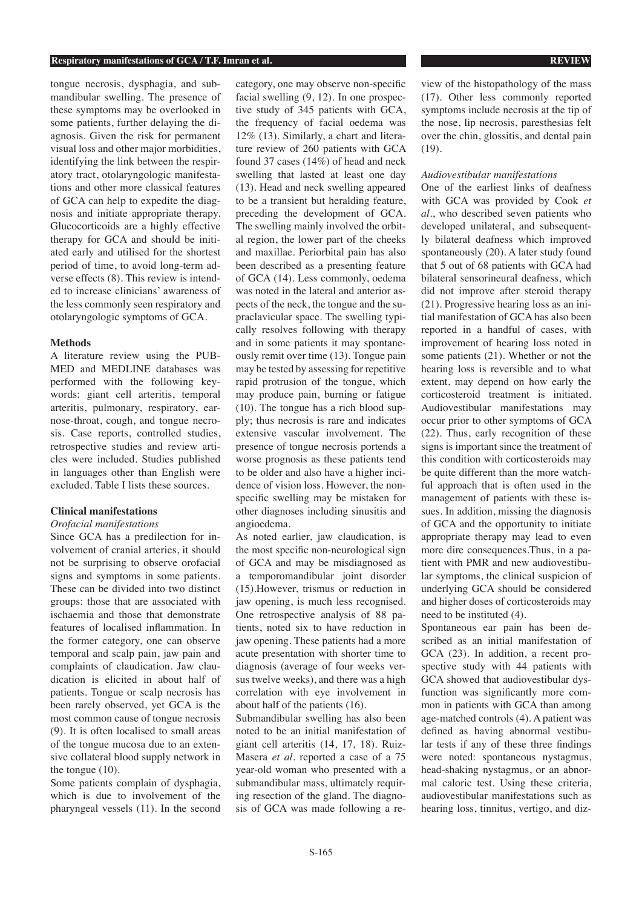#### **Respiratory manifestations of GCA / T.F. Imran et al. REVIEW**

tongue necrosis, dysphagia, and submandibular swelling. The presence of these symptoms may be overlooked in some patients, further delaying the diagnosis. Given the risk for permanent visual loss and other major morbidities, identifying the link between the respiratory tract, otolaryngologic manifestations and other more classical features of GCA can help to expedite the diagnosis and initiate appropriate therapy. Glucocorticoids are a highly effective therapy for GCA and should be initiated early and utilised for the shortest period of time, to avoid long-term adverse effects (8). This review is intended to increase clinicians' awareness of the less commonly seen respiratory and otolaryngologic symptoms of GCA.

#### **Methods**

A literature review using the PUB-MED and MEDLINE databases was performed with the following keywords: giant cell arteritis, temporal arteritis, pulmonary, respiratory, earnose-throat, cough, and tongue necrosis. Case reports, controlled studies, retrospective studies and review articles were included. Studies published in languages other than English were excluded. Table I lists these sources.

# **Clinical manifestations**

# *Orofacial manifestations*

Since GCA has a predilection for involvement of cranial arteries, it should not be surprising to observe orofacial signs and symptoms in some patients. These can be divided into two distinct groups: those that are associated with ischaemia and those that demonstrate features of localised inflammation. In the former category, one can observe temporal and scalp pain, jaw pain and complaints of claudication. Jaw claudication is elicited in about half of patients. Tongue or scalp necrosis has been rarely observed, yet GCA is the most common cause of tongue necrosis (9). It is often localised to small areas of the tongue mucosa due to an extensive collateral blood supply network in the tongue (10).

Some patients complain of dysphagia, which is due to involvement of the pharyngeal vessels (11). In the second

category, one may observe non-specific facial swelling (9, 12). In one prospective study of 345 patients with GCA, the frequency of facial oedema was 12% (13). Similarly, a chart and literature review of 260 patients with GCA found 37 cases (14%) of head and neck swelling that lasted at least one day (13). Head and neck swelling appeared to be a transient but heralding feature, preceding the development of GCA. The swelling mainly involved the orbital region, the lower part of the cheeks and maxillae. Periorbital pain has also been described as a presenting feature of GCA (14). Less commonly, oedema was noted in the lateral and anterior aspects of the neck, the tongue and the supraclavicular space. The swelling typically resolves following with therapy and in some patients it may spontaneously remit over time (13). Tongue pain may be tested by assessing for repetitive rapid protrusion of the tongue, which may produce pain, burning or fatigue (10). The tongue has a rich blood supply; thus necrosis is rare and indicates extensive vascular involvement. The presence of tongue necrosis portends a worse prognosis as these patients tend to be older and also have a higher incidence of vision loss. However, the nonspecific swelling may be mistaken for other diagnoses including sinusitis and angioedema.

As noted earlier, jaw claudication, is the most specific non-neurological sign of GCA and may be misdiagnosed as a temporomandibular joint disorder (15).However, trismus or reduction in jaw opening, is much less recognised. One retrospective analysis of 88 patients, noted six to have reduction in jaw opening. These patients had a more acute presentation with shorter time to diagnosis (average of four weeks versus twelve weeks), and there was a high correlation with eye involvement in about half of the patients (16).

Submandibular swelling has also been noted to be an initial manifestation of giant cell arteritis (14, 17, 18). Ruiz-Masera *et al.* reported a case of a 75 year-old woman who presented with a submandibular mass, ultimately requiring resection of the gland. The diagnosis of GCA was made following a review of the histopathology of the mass (17). Other less commonly reported symptoms include necrosis at the tip of the nose, lip necrosis, paresthesias felt over the chin, glossitis, and dental pain (19).

#### *Audiovestibular manifestations*

One of the earliest links of deafness with GCA was provided by Cook *et al.*, who described seven patients who developed unilateral, and subsequently bilateral deafness which improved spontaneously (20). A later study found that 5 out of 68 patients with GCA had bilateral sensorineural deafness, which did not improve after steroid therapy (21). Progressive hearing loss as an initial manifestation of GCA has also been reported in a handful of cases, with improvement of hearing loss noted in some patients (21). Whether or not the hearing loss is reversible and to what extent, may depend on how early the corticosteroid treatment is initiated. Audiovestibular manifestations may occur prior to other symptoms of GCA (22). Thus, early recognition of these signs is important since the treatment of this condition with corticosteroids may be quite different than the more watchful approach that is often used in the management of patients with these issues. In addition, missing the diagnosis of GCA and the opportunity to initiate appropriate therapy may lead to even more dire consequences.Thus, in a patient with PMR and new audiovestibular symptoms, the clinical suspicion of underlying GCA should be considered and higher doses of corticosteroids may need to be instituted (4).

Spontaneous ear pain has been described as an initial manifestation of GCA (23). In addition, a recent prospective study with 44 patients with GCA showed that audiovestibular dysfunction was significantly more common in patients with GCA than among age-matched controls (4). A patient was defined as having abnormal vestibular tests if any of these three findings were noted: spontaneous nystagmus, head-shaking nystagmus, or an abnormal caloric test. Using these criteria, audiovestibular manifestations such as hearing loss, tinnitus, vertigo, and diz-

S-165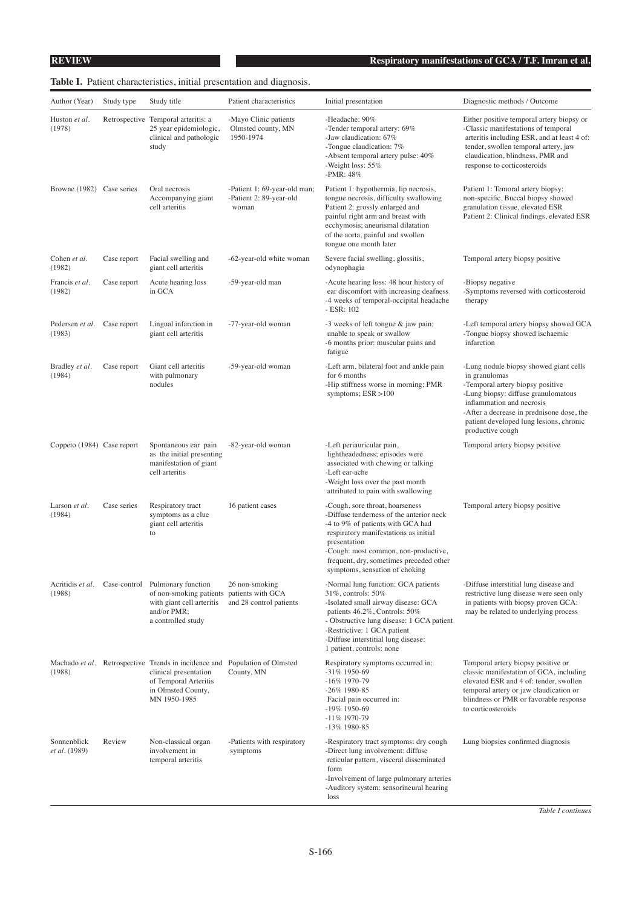# **Table I.** Patient characteristics, initial presentation and diagnosis.

| Author (Year)                         | Study type  | Study title                                                                                                                                                        | Patient characteristics                                          | Initial presentation                                                                                                                                                                                                                                                                           | Diagnostic methods / Outcome                                                                                                                                                                                                                                                |
|---------------------------------------|-------------|--------------------------------------------------------------------------------------------------------------------------------------------------------------------|------------------------------------------------------------------|------------------------------------------------------------------------------------------------------------------------------------------------------------------------------------------------------------------------------------------------------------------------------------------------|-----------------------------------------------------------------------------------------------------------------------------------------------------------------------------------------------------------------------------------------------------------------------------|
| Huston et al.<br>(1978)               |             | Retrospective Temporal arteritis: a<br>25 year epidemiologic,<br>clinical and pathologic<br>study                                                                  | -Mayo Clinic patients<br>Olmsted county, MN<br>1950-1974         | -Headache: 90%<br>-Tender temporal artery: 69%<br>-Jaw claudication: 67%<br>-Tongue claudication: 7%<br>-Absent temporal artery pulse: 40%<br>-Weight loss: 55%<br>-PMR: 48%                                                                                                                   | Either positive temporal artery biopsy or<br>-Classic manifestations of temporal<br>arteritis including ESR, and at least 4 of:<br>tender, swollen temporal artery, jaw<br>claudication, blindness, PMR and<br>response to corticosteroids                                  |
| Browne (1982) Case series             |             | Oral necrosis<br>Accompanying giant<br>cell arteritis                                                                                                              | -Patient 1: 69-year-old man;<br>-Patient 2: 89-year-old<br>woman | Patient 1: hypothermia, lip necrosis,<br>tongue necrosis, difficulty swallowing<br>Patient 2: grossly enlarged and<br>painful right arm and breast with<br>ecchymosis; aneurismal dilatation<br>of the aorta, painful and swollen<br>tongue one month later                                    | Patient 1: Temoral artery biopsy:<br>non-specific, Buccal biopsy showed<br>granulation tissue, elevated ESR<br>Patient 2: Clinical findings, elevated ESR                                                                                                                   |
| Cohen et al.<br>(1982)                | Case report | Facial swelling and<br>giant cell arteritis                                                                                                                        | -62-year-old white woman                                         | Severe facial swelling, glossitis,<br>odynophagia                                                                                                                                                                                                                                              | Temporal artery biopsy positive                                                                                                                                                                                                                                             |
| Francis et al.<br>(1982)              | Case report | Acute hearing loss<br>in GCA                                                                                                                                       | -59-year-old man                                                 | -Acute hearing loss: 48 hour history of<br>ear discomfort with increasing deafness<br>-4 weeks of temporal-occipital headache<br>- ESR: 102                                                                                                                                                    | -Biopsy negative<br>-Symptoms reversed with corticosteroid<br>therapy                                                                                                                                                                                                       |
| Pedersen et al. Case report<br>(1983) |             | Lingual infarction in<br>giant cell arteritis                                                                                                                      | -77-year-old woman                                               | -3 weeks of left tongue & jaw pain;<br>unable to speak or swallow<br>-6 months prior: muscular pains and<br>fatigue                                                                                                                                                                            | -Left temporal artery biopsy showed GCA<br>-Tongue biopsy showed ischaemic<br>infarction                                                                                                                                                                                    |
| Bradley et al.<br>(1984)              | Case report | Giant cell arteritis<br>with pulmonary<br>nodules                                                                                                                  | -59-year-old woman                                               | -Left arm, bilateral foot and ankle pain<br>for 6 months<br>-Hip stiffness worse in morning; PMR<br>symptoms; $ESR > 100$                                                                                                                                                                      | -Lung nodule biopsy showed giant cells<br>in granulomas<br>-Temporal artery biopsy positive<br>-Lung biopsy: diffuse granulomatous<br>inflammation and necrosis<br>-After a decrease in prednisone dose, the<br>patient developed lung lesions, chronic<br>productive cough |
| Coppeto (1984) Case report            |             | Spontaneous ear pain<br>as the initial presenting<br>manifestation of giant<br>cell arteritis                                                                      | -82-year-old woman                                               | -Left periauricular pain,<br>lightheadedness; episodes were<br>associated with chewing or talking<br>-Left ear-ache<br>-Weight loss over the past month<br>attributed to pain with swallowing                                                                                                  | Temporal artery biopsy positive                                                                                                                                                                                                                                             |
| Larson et al.<br>(1984)               | Case series | Respiratory tract<br>symptoms as a clue<br>giant cell arteritis<br>to                                                                                              | 16 patient cases                                                 | -Cough, sore throat, hoarseness<br>-Diffuse tenderness of the anterior neck<br>-4 to 9% of patients with GCA had<br>respiratory manifestations as initial<br>presentation<br>-Cough: most common, non-productive,<br>frequent, dry, sometimes preceded other<br>symptoms, sensation of choking | Temporal artery biopsy positive                                                                                                                                                                                                                                             |
| (1988)                                |             | Acritidis et al. Case-control Pulmonary function<br>of non-smoking patients<br>with giant cell arteritis<br>and/or PMR;<br>a controlled study                      | 26 non-smoking<br>patients with GCA<br>and 28 control patients   | -Normal lung function: GCA patients<br>31%, controls: 50%<br>-Isolated small airway disease: GCA<br>patients 46.2%, Controls: 50%<br>- Obstructive lung disease: 1 GCA patient<br>-Restrictive: 1 GCA patient<br>-Diffuse interstitial lung disease:<br>1 patient, controls: none              | -Diffuse interstitial lung disease and<br>restrictive lung disease were seen only<br>in patients with biopsy proven GCA:<br>may be related to underlying process                                                                                                            |
| (1988)                                |             | Machado et al. Retrospective Trends in incidence and Population of Olmsted<br>clinical presentation<br>of Temporal Arteritis<br>in Olmsted County,<br>MN 1950-1985 | County, MN                                                       | Respiratory symptoms occurred in:<br>-31% 1950-69<br>$-16\%$ 1970-79<br>$-26\%$ 1980-85<br>Facial pain occurred in:<br>-19% 1950-69<br>$-11\%$ 1970-79<br>$-13\%$ 1980-85                                                                                                                      | Temporal artery biopsy positive or<br>classic manifestation of GCA, including<br>elevated ESR and 4 of: tender, swollen<br>temporal artery or jaw claudication or<br>blindness or PMR or favorable response<br>to corticosteroids                                           |
| Sonnenblick<br><i>et al.</i> (1989)   | Review      | Non-classical organ<br>involvement in<br>temporal arteritis                                                                                                        | -Patients with respiratory<br>symptoms                           | -Respiratory tract symptoms: dry cough<br>-Direct lung involvement: diffuse<br>reticular pattern, visceral disseminated<br>form<br>-Involvement of large pulmonary arteries<br>-Auditory system: sensorineural hearing<br>loss                                                                 | Lung biopsies confirmed diagnosis                                                                                                                                                                                                                                           |

*Table I continues*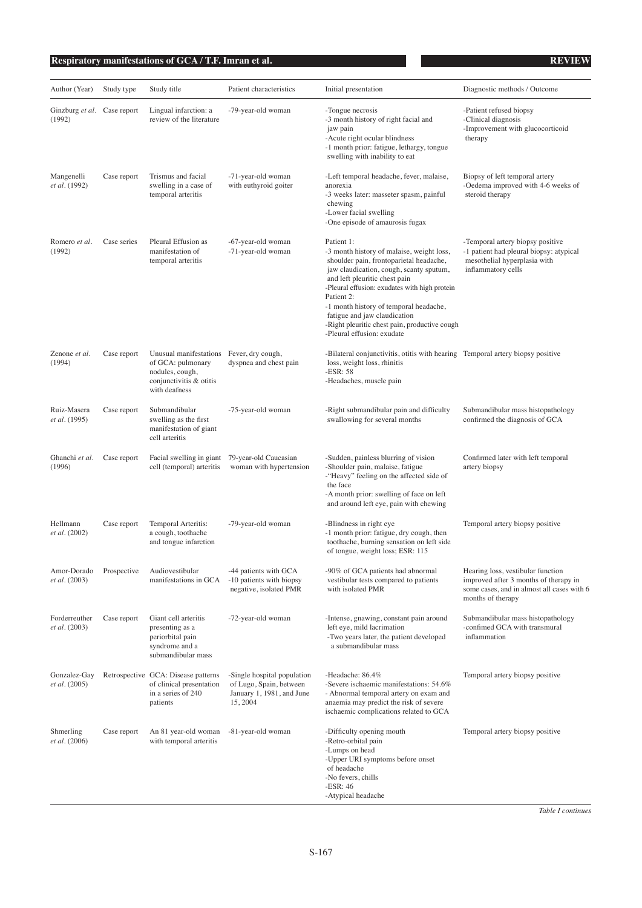# **Respiratory manifestations of GCA / T.F. Imran et al. REVIEW**

| Author (Year)                         | Study type  | Study title                                                                                                                  | Patient characteristics                                                                         | Initial presentation                                                                                                                                                                                                                                                                                                                                                                                   | Diagnostic methods / Outcome                                                                                                                  |
|---------------------------------------|-------------|------------------------------------------------------------------------------------------------------------------------------|-------------------------------------------------------------------------------------------------|--------------------------------------------------------------------------------------------------------------------------------------------------------------------------------------------------------------------------------------------------------------------------------------------------------------------------------------------------------------------------------------------------------|-----------------------------------------------------------------------------------------------------------------------------------------------|
| Ginzburg et al. Case report<br>(1992) |             | Lingual infarction: a<br>review of the literature                                                                            | -79-year-old woman                                                                              | -Tongue necrosis<br>-3 month history of right facial and<br>jaw pain<br>-Acute right ocular blindness<br>-1 month prior: fatigue, lethargy, tongue<br>swelling with inability to eat                                                                                                                                                                                                                   | -Patient refused biopsy<br>-Clinical diagnosis<br>-Improvement with glucocorticoid<br>therapy                                                 |
| Mangenelli<br>et al. (1992)           | Case report | Trismus and facial<br>swelling in a case of<br>temporal arteritis                                                            | -71-year-old woman<br>with euthyroid goiter                                                     | -Left temporal headache, fever, malaise,<br>anorexia<br>-3 weeks later: masseter spasm, painful<br>chewing<br>-Lower facial swelling<br>-One episode of amaurosis fugax                                                                                                                                                                                                                                | Biopsy of left temporal artery<br>-Oedema improved with 4-6 weeks of<br>steroid therapy                                                       |
| Romero et al.<br>(1992)               | Case series | Pleural Effusion as<br>manifestation of<br>temporal arteritis                                                                | -67-year-old woman<br>-71-year-old woman                                                        | Patient 1:<br>-3 month history of malaise, weight loss,<br>shoulder pain, frontoparietal headache,<br>jaw claudication, cough, scanty sputum,<br>and left pleuritic chest pain<br>-Pleural effusion: exudates with high protein<br>Patient 2:<br>-1 month history of temporal headache,<br>fatigue and jaw claudication<br>-Right pleuritic chest pain, productive cough<br>-Pleural effusion: exudate | -Temporal artery biopsy positive<br>-1 patient had pleural biopsy: atypical<br>mesothelial hyperplasia with<br>inflammatory cells             |
| Zenone et al.<br>(1994)               | Case report | Unusual manifestations Fever, dry cough,<br>of GCA: pulmonary<br>nodules, cough,<br>conjunctivitis & otitis<br>with deafness | dyspnea and chest pain                                                                          | -Bilateral conjunctivitis, otitis with hearing Temporal artery biopsy positive<br>loss, weight loss, rhinitis<br>$-ESR: 58$<br>-Headaches, muscle pain                                                                                                                                                                                                                                                 |                                                                                                                                               |
| Ruiz-Masera<br>et al. (1995)          | Case report | Submandibular<br>swelling as the first<br>manifestation of giant<br>cell arteritis                                           | -75-year-old woman                                                                              | -Right submandibular pain and difficulty<br>swallowing for several months                                                                                                                                                                                                                                                                                                                              | Submandibular mass histopathology<br>confirmed the diagnosis of GCA                                                                           |
| Ghanchi et al.<br>(1996)              | Case report | Facial swelling in giant<br>cell (temporal) arteritis                                                                        | 79-year-old Caucasian<br>woman with hypertension                                                | -Sudden, painless blurring of vision<br>-Shoulder pain, malaise, fatigue<br>-"Heavy" feeling on the affected side of<br>the face<br>-A month prior: swelling of face on left<br>and around left eye, pain with chewing                                                                                                                                                                                 | Confirmed later with left temporal<br>artery biopsy                                                                                           |
| Hellmann<br><i>et al.</i> (2002)      | Case report | Temporal Arteritis:<br>a cough, toothache<br>and tongue infarction                                                           | -79-year-old woman                                                                              | -Blindness in right eye<br>-1 month prior: fatigue, dry cough, then<br>toothache, burning sensation on left side<br>of tongue, weight loss; ESR: 115                                                                                                                                                                                                                                                   | Temporal artery biopsy positive                                                                                                               |
| Amor-Dorado<br><i>et al.</i> (2003)   | Prospective | Audiovestibular<br>manifestations in GCA                                                                                     | -44 patients with GCA<br>-10 patients with biopsy<br>negative, isolated PMR                     | -90% of GCA patients had abnormal<br>vestibular tests compared to patients<br>with isolated PMR                                                                                                                                                                                                                                                                                                        | Hearing loss, vestibular function<br>improved after 3 months of therapy in<br>some cases, and in almost all cases with 6<br>months of therapy |
| Forderreuther<br>et al. (2003)        | Case report | Giant cell arteritis<br>presenting as a<br>periorbital pain<br>syndrome and a<br>submandibular mass                          | -72-year-old woman                                                                              | -Intense, gnawing, constant pain around<br>left eye, mild lacrimation<br>-Two years later, the patient developed<br>a submandibular mass                                                                                                                                                                                                                                                               | Submandibular mass histopathology<br>-confimed GCA with transmural<br>inflammation                                                            |
| Gonzalez-Gay<br>et al. (2005)         |             | Retrospective GCA: Disease patterns<br>of clinical presentation<br>in a series of 240<br>patients                            | -Single hospital population<br>of Lugo, Spain, between<br>January 1, 1981, and June<br>15, 2004 | -Headache: 86.4%<br>-Severe ischaemic manifestations: 54.6%<br>- Abnormal temporal artery on exam and<br>anaemia may predict the risk of severe<br>ischaemic complications related to GCA                                                                                                                                                                                                              | Temporal artery biopsy positive                                                                                                               |
| Shmerling<br>et al. (2006)            | Case report | An 81 year-old woman<br>with temporal arteritis                                                                              | -81-year-old woman                                                                              | -Difficulty opening mouth<br>-Retro-orbital pain<br>-Lumps on head<br>-Upper URI symptoms before onset<br>of headache<br>-No fevers, chills<br>$-ESR: 46$<br>-Atypical headache                                                                                                                                                                                                                        | Temporal artery biopsy positive                                                                                                               |

*Table I continues*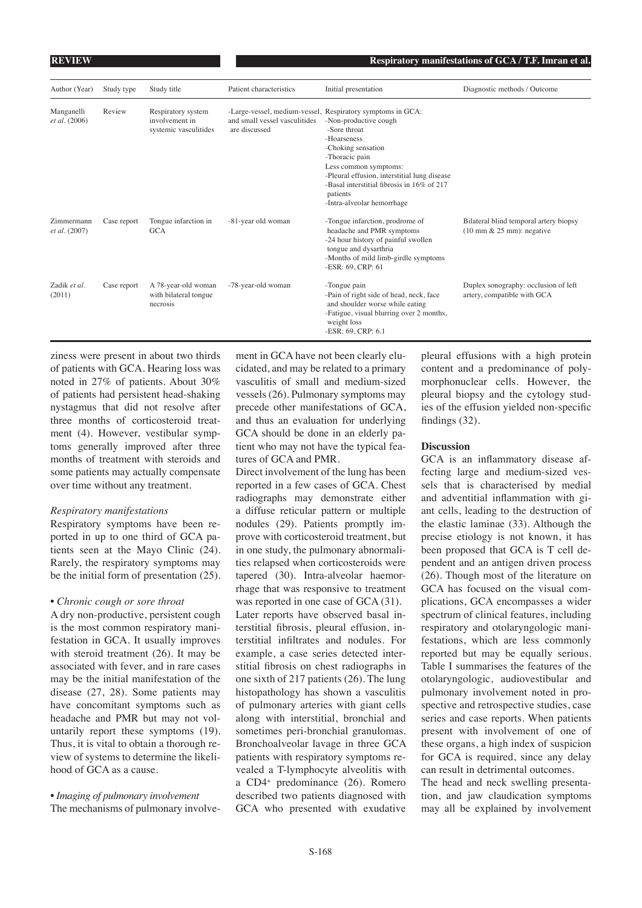| Author (Year)                      | Study type  | Study title                                                   | Patient characteristics                        | Initial presentation                                                                                                                                                                                                                                                                                                        | Diagnostic methods / Outcome                                                            |
|------------------------------------|-------------|---------------------------------------------------------------|------------------------------------------------|-----------------------------------------------------------------------------------------------------------------------------------------------------------------------------------------------------------------------------------------------------------------------------------------------------------------------------|-----------------------------------------------------------------------------------------|
| Manganelli<br>et al. (2006)        | Review      | Respiratory system<br>involvement in<br>systemic vasculitides | and small vessel vasculitides<br>are discussed | -Large-vessel, medium-vessel, Respiratory symptoms in GCA:<br>-Non-productive cough<br>-Sore throat<br>-Hoarseness<br>-Choking sensation<br>-Thoracic pain<br>Less common symptoms:<br>-Pleural effusion, interstitial lung disease<br>-Basal interstitial fibrosis in 16% of 217<br>patients<br>-Intra-alveolar hemorrhage |                                                                                         |
| Zimmermann<br><i>et al.</i> (2007) | Case report | Tongue infarction in<br><b>GCA</b>                            | -81-year old woman                             | -Tongue infarction, prodrome of<br>headache and PMR symptoms<br>-24 hour history of painful swollen<br>tongue and dysarthria<br>-Months of mild limb-girdle symptoms<br>-ESR: 69, CRP: 61                                                                                                                                   | Bilateral blind temporal artery biopsy<br>$(10 \text{ mm} \& 25 \text{ mm})$ : negative |
| Zadik et al.<br>(2011)             | Case report | A 78-year-old woman<br>with bilateral tongue<br>necrosis      | -78-year-old woman                             | -Tongue pain<br>-Pain of right side of head, neck, face<br>and shoulder worse while eating<br>-Fatigue, visual blurring over 2 months,<br>weight loss<br>-ESR: 69, CRP: 6.1                                                                                                                                                 | Duplex sonography: occlusion of left<br>artery, compatible with GCA                     |

ziness were present in about two thirds of patients with GCA. Hearing loss was noted in 27% of patients. About 30% of patients had persistent head-shaking nystagmus that did not resolve after three months of corticosteroid treatment (4). However, vestibular symptoms generally improved after three months of treatment with steroids and some patients may actually compensate over time without any treatment.

#### *Respiratory manifestations*

Respiratory symptoms have been reported in up to one third of GCA patients seen at the Mayo Clinic (24). Rarely, the respiratory symptoms may be the initial form of presentation (25).

#### *• Chronic cough or sore throat*

A dry non-productive, persistent cough is the most common respiratory manifestation in GCA. It usually improves with steroid treatment (26). It may be associated with fever, and in rare cases may be the initial manifestation of the disease (27, 28). Some patients may have concomitant symptoms such as headache and PMR but may not voluntarily report these symptoms (19). Thus, it is vital to obtain a thorough review of systems to determine the likelihood of GCA as a cause.

# *• Imaging of pulmonary involvement* The mechanisms of pulmonary involve-

ment in GCA have not been clearly elucidated, and may be related to a primary vasculitis of small and medium-sized vessels (26). Pulmonary symptoms may precede other manifestations of GCA, and thus an evaluation for underlying GCA should be done in an elderly patient who may not have the typical features of GCA and PMR.

Direct involvement of the lung has been reported in a few cases of GCA. Chest radiographs may demonstrate either a diffuse reticular pattern or multiple nodules (29). Patients promptly improve with corticosteroid treatment, but in one study, the pulmonary abnormalities relapsed when corticosteroids were tapered (30). Intra-alveolar haemorrhage that was responsive to treatment was reported in one case of GCA (31). Later reports have observed basal interstitial fibrosis, pleural effusion, interstitial infiltrates and nodules. For example, a case series detected interstitial fibrosis on chest radiographs in one sixth of 217 patients (26). The lung histopathology has shown a vasculitis of pulmonary arteries with giant cells along with interstitial, bronchial and sometimes peri-bronchial granulomas. Bronchoalveolar lavage in three GCA patients with respiratory symptoms revealed a T-lymphocyte alveolitis with a CD4+ predominance (26). Romero described two patients diagnosed with GCA who presented with exudative

pleural effusions with a high protein content and a predominance of polymorphonuclear cells. However, the pleural biopsy and the cytology studies of the effusion yielded non-specific findings (32).

### **Discussion**

GCA is an inflammatory disease affecting large and medium-sized vessels that is characterised by medial and adventitial inflammation with giant cells, leading to the destruction of the elastic laminae (33). Although the precise etiology is not known, it has been proposed that GCA is T cell dependent and an antigen driven process (26). Though most of the literature on GCA has focused on the visual complications, GCA encompasses a wider spectrum of clinical features, including respiratory and otolaryngologic manifestations, which are less commonly reported but may be equally serious. Table I summarises the features of the otolaryngologic, audiovestibular and pulmonary involvement noted in prospective and retrospective studies, case series and case reports. When patients present with involvement of one of these organs, a high index of suspicion for GCA is required, since any delay can result in detrimental outcomes. The head and neck swelling presenta-

tion, and jaw claudication symptoms may all be explained by involvement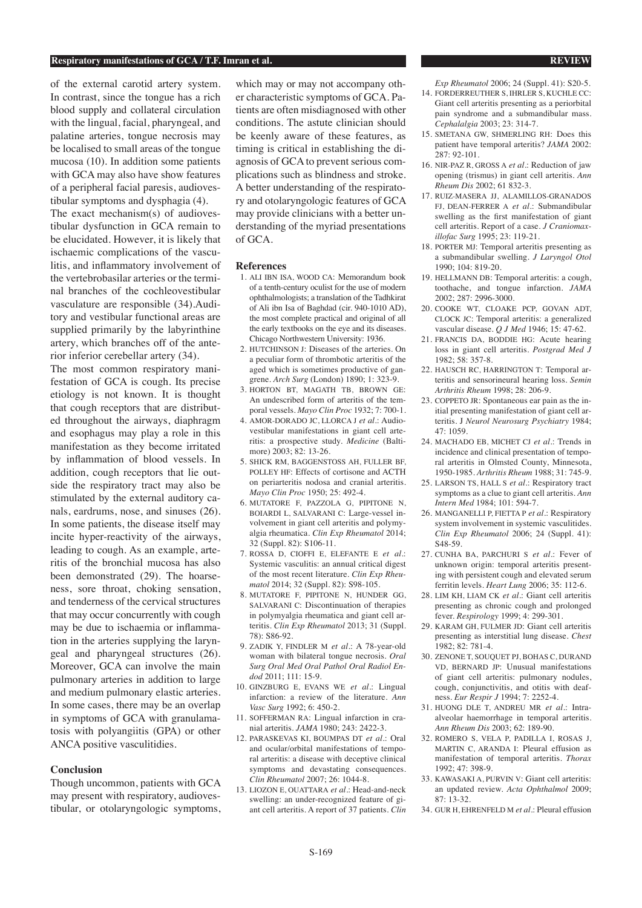#### **Respiratory manifestations of GCA / T.F. Imran et al. REVIEW**

of the external carotid artery system. In contrast, since the tongue has a rich blood supply and collateral circulation with the lingual, facial, pharyngeal, and palatine arteries, tongue necrosis may be localised to small areas of the tongue mucosa (10). In addition some patients with GCA may also have show features of a peripheral facial paresis, audiovestibular symptoms and dysphagia (4).

The exact mechanism(s) of audiovestibular dysfunction in GCA remain to be elucidated. However, it is likely that ischaemic complications of the vasculitis, and inflammatory involvement of the vertebrobasilar arteries or the terminal branches of the cochleovestibular vasculature are responsible (34).Auditory and vestibular functional areas are supplied primarily by the labyrinthine artery, which branches off of the anterior inferior cerebellar artery (34).

The most common respiratory manifestation of GCA is cough. Its precise etiology is not known. It is thought that cough receptors that are distributed throughout the airways, diaphragm and esophagus may play a role in this manifestation as they become irritated by inflammation of blood vessels. In addition, cough receptors that lie outside the respiratory tract may also be stimulated by the external auditory canals, eardrums, nose, and sinuses (26). In some patients, the disease itself may incite hyper-reactivity of the airways, leading to cough. As an example, arteritis of the bronchial mucosa has also been demonstrated (29). The hoarseness, sore throat, choking sensation, and tenderness of the cervical structures that may occur concurrently with cough may be due to ischaemia or inflammation in the arteries supplying the laryngeal and pharyngeal structures (26). Moreover, GCA can involve the main pulmonary arteries in addition to large and medium pulmonary elastic arteries. In some cases, there may be an overlap in symptoms of GCA with granulamatosis with polyangiitis (GPA) or other ANCA positive vasculitidies.

#### **Conclusion**

Though uncommon, patients with GCA may present with respiratory, audiovestibular, or otolaryngologic symptoms,

which may or may not accompany other characteristic symptoms of GCA. Patients are often misdiagnosed with other conditions. The astute clinician should be keenly aware of these features, as timing is critical in establishing the diagnosis of GCA to prevent serious complications such as blindness and stroke. A better understanding of the respiratory and otolaryngologic features of GCA may provide clinicians with a better understanding of the myriad presentations of GCA.

#### **References**

- 1. ALI IBN ISA, WOOD CA: Memorandum book of a tenth-century oculist for the use of modern ophthalmologists; a translation of the Tadhkirat of Ali ibn Isa of Baghdad (cir. 940-1010 AD), the most complete practical and original of all the early textbooks on the eye and its diseases. Chicago Northwestern University: 1936.
- 2. HUTCHINSON J: Diseases of the arteries. On a peculiar form of thrombotic arteritis of the aged which is sometimes productive of gangrene. *Arch Surg* (London) 1890; 1: 323-9.
- 3. HORTON BT, MAGATH TB, BROWN GE: An undescribed form of arteritis of the temporal vessels. *Mayo Clin Proc* 1932; 7: 700-1.
- 4. AMOR-DORADO JC, LLORCA J *et al.*: Audiovestibular manifestations in giant cell arteritis: a prospective study. *Medicine* (Baltimore) 2003; 82: 13-26.
- 5. SHICK RM, BAGGENSTOSS AH, FULLER BF, POLLEY HF: Effects of cortisone and ACTH on periarteritis nodosa and cranial arteritis. *Mayo Clin Proc* 1950; 25: 492-4.
- 6. MUTATORE F, PAZZOLA G, PIPITONE N, BOIARDI L, SALVARANI C: Large-vessel involvement in giant cell arteritis and polymyalgia rheumatica. *Clin Exp Rheumatol* 2014; 32 (Suppl. 82): S106-11.
- 7. ROSSA D, CIOFFI E, ELEFANTE E *et al.*: Systemic vasculitis: an annual critical digest of the most recent literature. *Clin Exp Rheumatol* 2014; 32 (Suppl. 82): S98-105.
- 8. MUTATORE F, PIPITONE N, HUNDER GG, SALVARANI C: Discontinuation of therapies in polymyalgia rheumatica and giant cell arteritis. *Clin Exp Rheumatol* 2013; 31 (Suppl. 78): S86-92.
- 9. ZADIK Y, FINDLER M *et al.*: A 78-year-old woman with bilateral tongue necrosis. *Oral Surg Oral Med Oral Pathol Oral Radiol Endod* 2011; 111: 15-9.
- 10. GINZBURG E, EVANS WE *et al.*: Lingual infarction: a review of the literature. *Ann Vasc Surg* 1992; 6: 450-2.
- 11. SOFFERMAN RA: Lingual infarction in cranial arteritis. *JAMA* 1980; 243: 2422-3.
- 12. PARASKEVAS KI, BOUMPAS DT *et al.*: Oral and ocular/orbital manifestations of temporal arteritis: a disease with deceptive clinical symptoms and devastating consequences. *Clin Rheumatol* 2007; 26: 1044-8.
- 13. LIOZON E, OUATTARA *et al.*: Head-and-neck swelling: an under-recognized feature of giant cell arteritis. A report of 37 patients. *Clin*

*Exp Rheumatol* 2006; 24 (Suppl. 41): S20-5.

- 14. FORDERREUTHER S, IHRLER S, KUCHLE CC: Giant cell arteritis presenting as a periorbital pain syndrome and a submandibular mass. *Cephalalgia* 2003; 23: 314-7.
- 15. SMETANA GW, SHMERLING RH: Does this patient have temporal arteritis? *JAMA* 2002: 287: 92-101.
- 16. NIR-PAZ R, GROSS A *et al.*: Reduction of jaw opening (trismus) in giant cell arteritis. *Ann Rheum Dis* 2002; 61 832-3.
- 17. RUIZ-MASERA JJ, ALAMILLOS-GRANADOS FJ, DEAN-FERRER A *et al.*: Submandibular swelling as the first manifestation of giant cell arteritis. Report of a case. *J Craniomaxillofac Surg* 1995; 23: 119-21.
- 18. PORTER MJ: Temporal arteritis presenting as a submandibular swelling. *J Laryngol Otol* 1990; 104: 819-20.
- 19. HELLMANN DB: Temporal arteritis: a cough, toothache, and tongue infarction. *JAMA* 2002; 287: 2996-3000.
- 20. COOKE WT, CLOAKE PCP, GOVAN ADT, CLOCK JC: Temporal arteritis: a generalized vascular disease. *Q J Med* 1946; 15: 47-62.
- 21. FRANCIS DA, BODDIE HG: Acute hearing loss in giant cell arteritis. *Postgrad Med J* 1982; 58: 357-8.
- 22. HAUSCH RC, HARRINGTON T: Temporal arteritis and sensorineural hearing loss. *Semin Arthritis Rheum* 1998; 28: 206-9.
- 23. COPPETO JR: Spontaneous ear pain as the initial presenting manifestation of giant cell arteritis. J *Neurol Neurosurg Psychiatry* 1984; 47: 1059.
- 24. MACHADO EB, MICHET CJ *et al.*: Trends in incidence and clinical presentation of temporal arteritis in Olmsted County, Minnesota, 1950-1985. *Arthritis Rheum* 1988; 31: 745-9.
- 25. LARSON TS, HALL S *et al.*: Respiratory tract symptoms as a clue to giant cell arteritis. *Ann Intern Med* 1984; 101: 594-7.
- 26. MANGANELLI P, FIETTA P *et al.*: Respiratory system involvement in systemic vasculitides. *Clin Exp Rheumatol* 2006; 24 (Suppl. 41): S48-59.
- 27. CUNHA BA, PARCHURI S *et al.*: Fever of unknown origin: temporal arteritis presenting with persistent cough and elevated serum ferritin levels. *Heart Lung* 2006; 35: 112-6.
- 28. LIM KH, LIAM CK *et al.*: Giant cell arteritis presenting as chronic cough and prolonged fever. *Respirology* 1999; 4: 299-301.
- 29. KARAM GH, FULMER JD: Giant cell arteritis presenting as interstitial lung disease. *Chest*  $1982 \cdot 82 \cdot 781 - 4$
- 30. ZENONE T, SOUQUET PJ, BOHAS C, DURAND VD, BERNARD JP: Unusual manifestations of giant cell arteritis: pulmonary nodules, cough, conjunctivitis, and otitis with deafness. *Eur Respir J* 1994; 7: 2252-4.
- 31. HUONG DLE T, ANDREU MR *et al.*: Intraalveolar haemorrhage in temporal arteritis. *Ann Rheum Dis* 2003; 62: 189-90.
- 32. ROMERO S, VELA P, PADILLA I, ROSAS J, MARTIN C, ARANDA I: Pleural effusion as manifestation of temporal arteritis. *Thorax* 1992; 47: 398-9.
- 33. KAWASAKI A, PURVIN V: Giant cell arteritis: an updated review. *Acta Ophthalmol* 2009; 87: 13-32.
- 34. GUR H, EHRENFELD M *et al.*: Pleural effusion